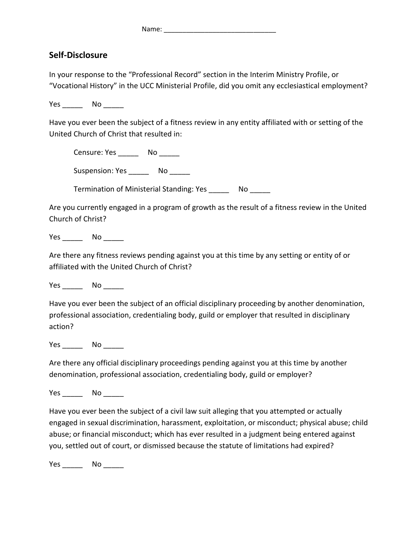Name: \_\_\_\_\_\_\_\_\_\_\_\_\_\_\_\_\_\_\_\_\_\_\_\_\_\_\_\_\_\_

## **Self-Disclosure**

In your response to the "Professional Record" section in the Interim Ministry Profile, or "Vocational History" in the UCC Ministerial Profile, did you omit any ecclesiastical employment?

Yes No  $\blacksquare$ 

Have you ever been the subject of a fitness review in any entity affiliated with or setting of the United Church of Christ that resulted in:

Censure: Yes \_\_\_\_\_\_\_ No \_\_\_\_\_\_

Suspension: Yes \_\_\_\_\_\_\_ No \_\_\_\_\_\_

Termination of Ministerial Standing: Yes \_\_\_\_\_\_\_\_ No \_\_\_\_\_\_

Are you currently engaged in a program of growth as the result of a fitness review in the United Church of Christ?

Yes \_\_\_\_\_\_\_ No \_\_\_\_\_\_

Are there any fitness reviews pending against you at this time by any setting or entity of or affiliated with the United Church of Christ?

Yes No No District No No District No. 1996.

Have you ever been the subject of an official disciplinary proceeding by another denomination, professional association, credentialing body, guild or employer that resulted in disciplinary action?

Yes No

Are there any official disciplinary proceedings pending against you at this time by another denomination, professional association, credentialing body, guild or employer?

Yes No No District No No District No. 1996.

Have you ever been the subject of a civil law suit alleging that you attempted or actually engaged in sexual discrimination, harassment, exploitation, or misconduct; physical abuse; child abuse; or financial misconduct; which has ever resulted in a judgment being entered against you, settled out of court, or dismissed because the statute of limitations had expired?

Yes \_\_\_\_\_\_\_ No \_\_\_\_\_\_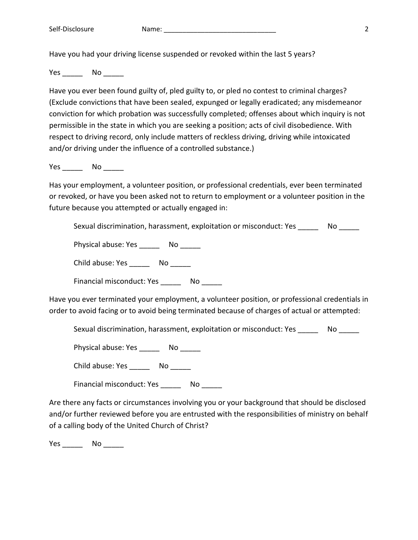Have you had your driving license suspended or revoked within the last 5 years?

Yes No  $\blacksquare$ 

Have you ever been found guilty of, pled guilty to, or pled no contest to criminal charges? (Exclude convictions that have been sealed, expunged or legally eradicated; any misdemeanor conviction for which probation was successfully completed; offenses about which inquiry is not permissible in the state in which you are seeking a position; acts of civil disobedience. With respect to driving record, only include matters of reckless driving, driving while intoxicated and/or driving under the influence of a controlled substance.)

Yes \_\_\_\_\_\_\_\_ No \_\_\_\_\_\_

Has your employment, a volunteer position, or professional credentials, ever been terminated or revoked, or have you been asked not to return to employment or a volunteer position in the future because you attempted or actually engaged in:

Sexual discrimination, harassment, exploitation or misconduct: Yes \_\_\_\_\_\_ No \_\_\_\_\_

Physical abuse: Yes \_\_\_\_\_\_ No

Child abuse: Yes \_\_\_\_\_\_ No

Financial misconduct: Yes \_\_\_\_\_\_ No

Have you ever terminated your employment, a volunteer position, or professional credentials in order to avoid facing or to avoid being terminated because of charges of actual or attempted:

Sexual discrimination, harassment, exploitation or misconduct: Yes  $\sim$  No

Physical abuse: Yes \_\_\_\_\_\_\_ No \_\_\_\_\_\_

Child abuse: Yes \_\_\_\_\_\_\_\_ No \_\_\_\_\_\_

Financial misconduct: Yes \_\_\_\_\_\_ No

Are there any facts or circumstances involving you or your background that should be disclosed and/or further reviewed before you are entrusted with the responsibilities of ministry on behalf of a calling body of the United Church of Christ?

Yes No No